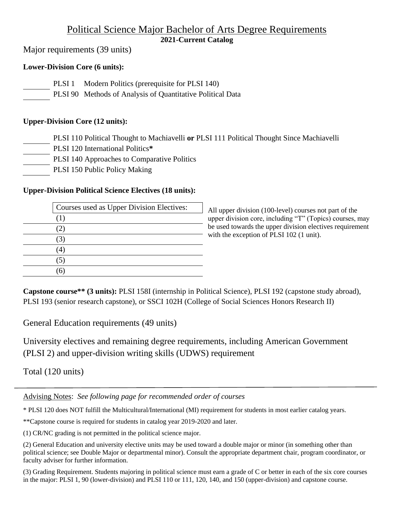# Political Science Major Bachelor of Arts Degree Requirements **2021-Current Catalog**

Major requirements (39 units)

## **Lower-Division Core (6 units):**

| PLSI 1 Modern Politics (prerequisite for PLSI 140) |  |
|----------------------------------------------------|--|
|                                                    |  |

PLSI 90 Methods of Analysis of Quantitative Political Data

### **Upper-Division Core (12 units):**

- PLSI 110 Political Thought to Machiavelli **or** PLSI 111 Political Thought Since Machiavelli
- PLSI 120 International Politics**\***
- PLSI 140 Approaches to Comparative Politics
- PLSI 150 Public Policy Making

### **Upper-Division Political Science Electives (18 units):**

| Courses used as Upper Division Electives: |
|-------------------------------------------|
| (1)                                       |
| $\angle$                                  |
|                                           |
|                                           |
|                                           |
|                                           |

All upper division (100-level) courses not part of the upper division core, including "T" (Topics) courses, may be used towards the upper division electives requirement with the exception of PLSI 102 (1 unit).

**Capstone course\*\* (3 units):** PLSI 158I (internship in Political Science), PLSI 192 (capstone study abroad), PLSI 193 (senior research capstone), or SSCI 102H (College of Social Sciences Honors Research II)

General Education requirements (49 units)

University electives and remaining degree requirements, including American Government (PLSI 2) and upper-division writing skills (UDWS) requirement

Total (120 units)

Advising Notes: *See following page for recommended order of courses* 

\* PLSI 120 does NOT fulfill the Multicultural/International (MI) requirement for students in most earlier catalog years.

\*\*Capstone course is required for students in catalog year 2019-2020 and later.

(1) CR/NC grading is not permitted in the political science major.

(2) General Education and university elective units may be used toward a double major or minor (in something other than political science; see Double Major or departmental minor). Consult the appropriate department chair, program coordinator, or faculty adviser for further information.

(3) Grading Requirement. Students majoring in political science must earn a grade of C or better in each of the six core courses in the major: PLSI 1, 90 (lower-division) and PLSI 110 or 111, 120, 140, and 150 (upper-division) and capstone course.